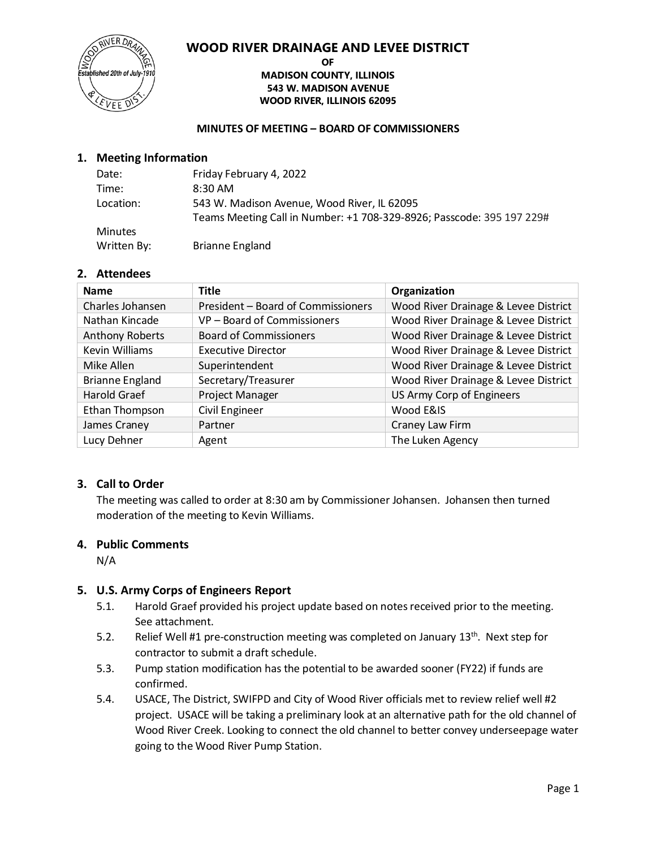

#### **OF MADISON COUNTY, ILLINOIS 543 W. MADISON AVENUE WOOD RIVER, ILLINOIS 62095**

#### **MINUTES OF MEETING – BOARD OF COMMISSIONERS**

#### **1. Meeting Information**

| Date:          | Friday February 4, 2022                                               |
|----------------|-----------------------------------------------------------------------|
| Time:          | 8:30 AM                                                               |
| Location:      | 543 W. Madison Avenue, Wood River, IL 62095                           |
|                | Teams Meeting Call in Number: +1 708-329-8926; Passcode: 395 197 229# |
| <b>Minutes</b> |                                                                       |
| Written By:    | <b>Brianne England</b>                                                |

#### **2. Attendees**

| <b>Name</b>            | <b>Title</b>                       | Organization                         |
|------------------------|------------------------------------|--------------------------------------|
| Charles Johansen       | President - Board of Commissioners | Wood River Drainage & Levee District |
| Nathan Kincade         | VP - Board of Commissioners        | Wood River Drainage & Levee District |
| <b>Anthony Roberts</b> | <b>Board of Commissioners</b>      | Wood River Drainage & Levee District |
| Kevin Williams         | <b>Executive Director</b>          | Wood River Drainage & Levee District |
| Mike Allen             | Superintendent                     | Wood River Drainage & Levee District |
| <b>Brianne England</b> | Secretary/Treasurer                | Wood River Drainage & Levee District |
| Harold Graef           | Project Manager                    | US Army Corp of Engineers            |
| Ethan Thompson         | <b>Civil Engineer</b>              | Wood E&IS                            |
| James Craney           | Partner                            | Craney Law Firm                      |
| Lucy Dehner            | Agent                              | The Luken Agency                     |

#### **3. Call to Order**

The meeting was called to order at 8:30 am by Commissioner Johansen. Johansen then turned moderation of the meeting to Kevin Williams.

#### **4. Public Comments**

N/A

#### **5. U.S. Army Corps of Engineers Report**

- 5.1. Harold Graef provided his project update based on notes received prior to the meeting. See attachment.
- 5.2. Relief Well #1 pre-construction meeting was completed on January 13<sup>th</sup>. Next step for contractor to submit a draft schedule.
- 5.3. Pump station modification has the potential to be awarded sooner (FY22) if funds are confirmed.
- 5.4. USACE, The District, SWIFPD and City of Wood River officials met to review relief well #2 project. USACE will be taking a preliminary look at an alternative path for the old channel of Wood River Creek. Looking to connect the old channel to better convey underseepage water going to the Wood River Pump Station.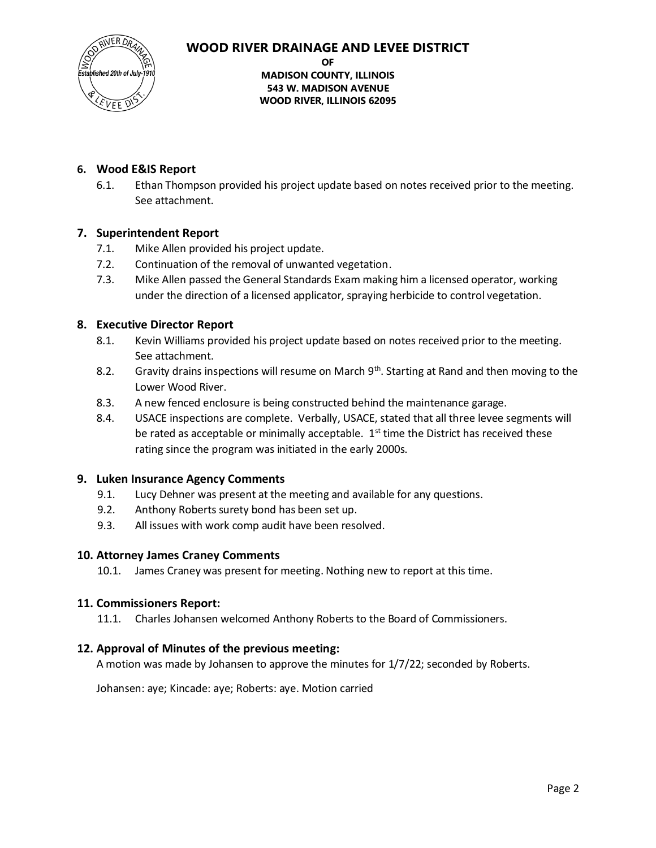lished 20th of July

**OF MADISON COUNTY, ILLINOIS 543 W. MADISON AVENUE WOOD RIVER, ILLINOIS 62095**

### **6. Wood E&IS Report**

6.1. Ethan Thompson provided his project update based on notes received prior to the meeting. See attachment.

#### **7. Superintendent Report**

- 7.1. Mike Allen provided his project update.
- 7.2. Continuation of the removal of unwanted vegetation.
- 7.3. Mike Allen passed the General Standards Exam making him a licensed operator, working under the direction of a licensed applicator, spraying herbicide to control vegetation.

#### **8. Executive Director Report**

- 8.1. Kevin Williams provided his project update based on notes received prior to the meeting. See attachment.
- 8.2. Gravity drains inspections will resume on March  $9<sup>th</sup>$ . Starting at Rand and then moving to the Lower Wood River.
- 8.3. A new fenced enclosure is being constructed behind the maintenance garage.
- 8.4. USACE inspections are complete. Verbally, USACE, stated that all three levee segments will be rated as acceptable or minimally acceptable.  $1<sup>st</sup>$  time the District has received these rating since the program was initiated in the early 2000s.

#### **9. Luken Insurance Agency Comments**

- 9.1. Lucy Dehner was present at the meeting and available for any questions.
- 9.2. Anthony Roberts surety bond has been set up.
- 9.3. All issues with work comp audit have been resolved.

#### **10. Attorney James Craney Comments**

10.1. James Craney was present for meeting. Nothing new to report at this time.

#### **11. Commissioners Report:**

11.1. Charles Johansen welcomed Anthony Roberts to the Board of Commissioners.

#### **12. Approval of Minutes of the previous meeting:**

A motion was made by Johansen to approve the minutes for 1/7/22; seconded by Roberts.

Johansen: aye; Kincade: aye; Roberts: aye. Motion carried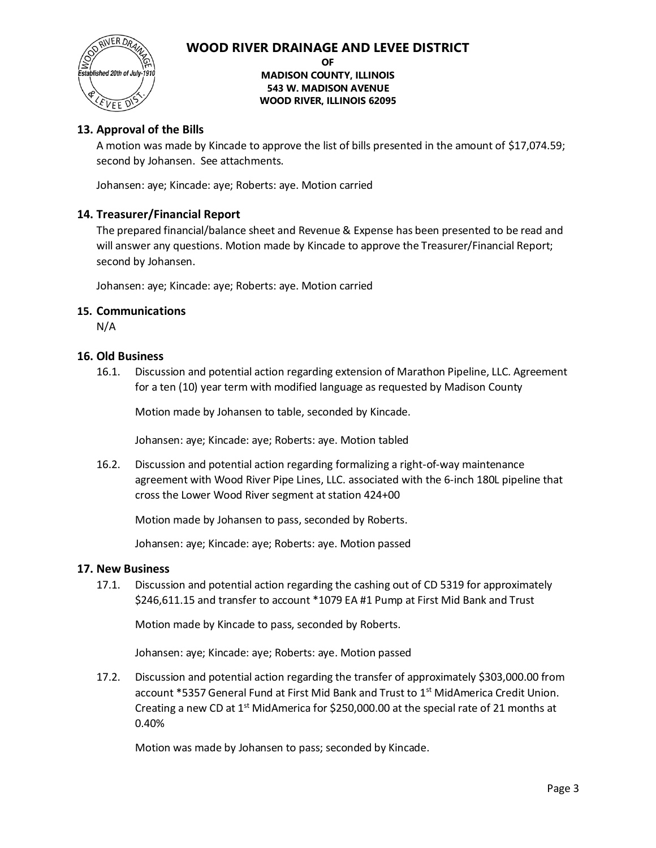

#### **OF**

#### **MADISON COUNTY, ILLINOIS 543 W. MADISON AVENUE WOOD RIVER, ILLINOIS 62095**

#### **13. Approval of the Bills**

A motion was made by Kincade to approve the list of bills presented in the amount of \$17,074.59; second by Johansen. See attachments.

Johansen: aye; Kincade: aye; Roberts: aye. Motion carried

#### **14. Treasurer/Financial Report**

The prepared financial/balance sheet and Revenue & Expense has been presented to be read and will answer any questions. Motion made by Kincade to approve the Treasurer/Financial Report; second by Johansen.

Johansen: aye; Kincade: aye; Roberts: aye. Motion carried

#### **15. Communications**

N/A

#### **16. Old Business**

16.1. Discussion and potential action regarding extension of Marathon Pipeline, LLC. Agreement for a ten (10) year term with modified language as requested by Madison County

Motion made by Johansen to table, seconded by Kincade.

Johansen: aye; Kincade: aye; Roberts: aye. Motion tabled

16.2. Discussion and potential action regarding formalizing a right-of-way maintenance agreement with Wood River Pipe Lines, LLC. associated with the 6-inch 180L pipeline that cross the Lower Wood River segment at station 424+00

Motion made by Johansen to pass, seconded by Roberts.

Johansen: aye; Kincade: aye; Roberts: aye. Motion passed

#### **17. New Business**

17.1. Discussion and potential action regarding the cashing out of CD 5319 for approximately \$246,611.15 and transfer to account \*1079 EA #1 Pump at First Mid Bank and Trust

Motion made by Kincade to pass, seconded by Roberts.

Johansen: aye; Kincade: aye; Roberts: aye. Motion passed

17.2. Discussion and potential action regarding the transfer of approximately \$303,000.00 from account \*5357 General Fund at First Mid Bank and Trust to 1<sup>st</sup> MidAmerica Credit Union. Creating a new CD at  $1<sup>st</sup>$  MidAmerica for \$250,000.00 at the special rate of 21 months at 0.40%

Motion was made by Johansen to pass; seconded by Kincade.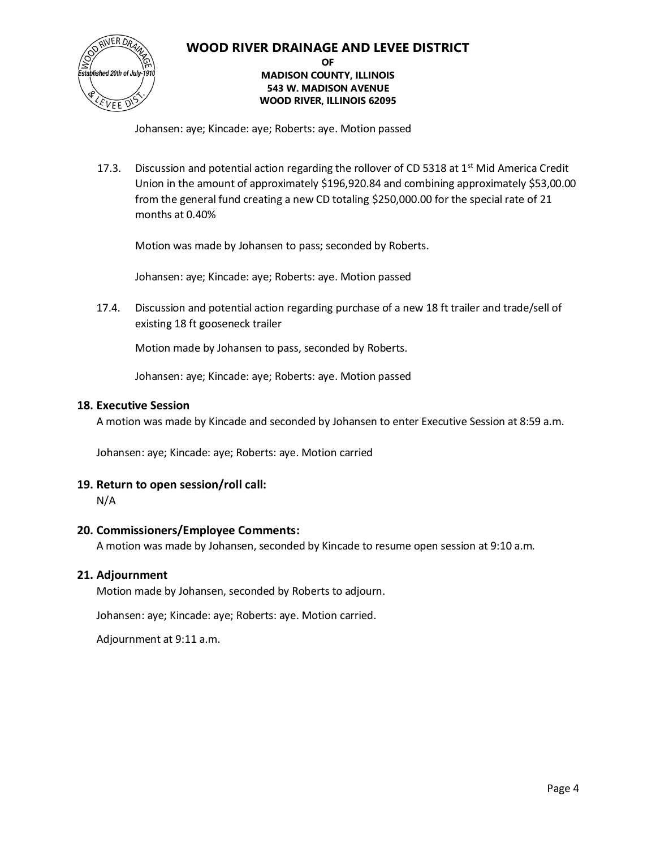

#### **OF MADISON COUNTY, ILLINOIS 543 W. MADISON AVENUE WOOD RIVER, ILLINOIS 62095**

Johansen: aye; Kincade: aye; Roberts: aye. Motion passed

17.3. Discussion and potential action regarding the rollover of CD 5318 at  $1<sup>st</sup>$  Mid America Credit Union in the amount of approximately \$196,920.84 and combining approximately \$53,00.00 from the general fund creating a new CD totaling \$250,000.00 for the special rate of 21 months at 0.40%

Motion was made by Johansen to pass; seconded by Roberts.

Johansen: aye; Kincade: aye; Roberts: aye. Motion passed

17.4. Discussion and potential action regarding purchase of a new 18 ft trailer and trade/sell of existing 18 ft gooseneck trailer

Motion made by Johansen to pass, seconded by Roberts.

Johansen: aye; Kincade: aye; Roberts: aye. Motion passed

#### **18. Executive Session**

A motion was made by Kincade and seconded by Johansen to enter Executive Session at 8:59 a.m.

Johansen: aye; Kincade: aye; Roberts: aye. Motion carried

#### **19. Return to open session/roll call:**

N/A

#### **20. Commissioners/Employee Comments:**

A motion was made by Johansen, seconded by Kincade to resume open session at 9:10 a.m.

#### **21. Adjournment**

Motion made by Johansen, seconded by Roberts to adjourn.

Johansen: aye; Kincade: aye; Roberts: aye. Motion carried.

Adjournment at 9:11 a.m.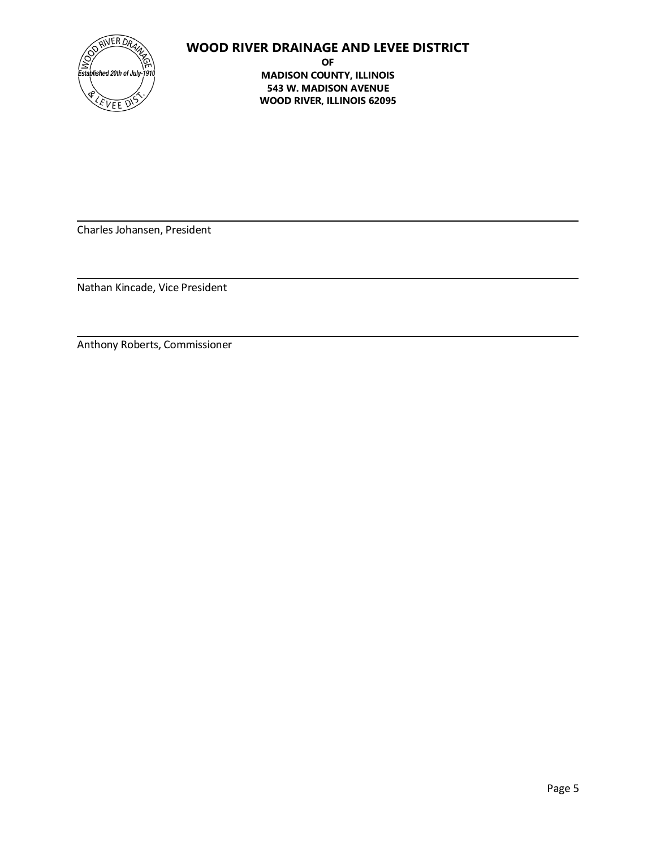

**OF MADISON COUNTY, ILLINOIS 543 W. MADISON AVENUE WOOD RIVER, ILLINOIS 62095**

Charles Johansen, President

Nathan Kincade, Vice President

Anthony Roberts, Commissioner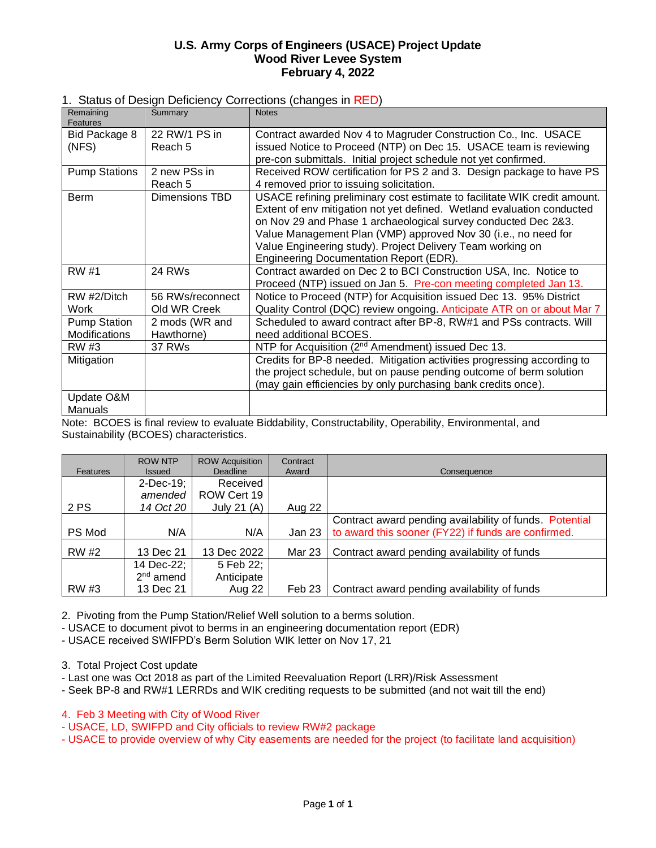#### **U.S. Army Corps of Engineers (USACE) Project Update Wood River Levee System February 4, 2022**

#### 1. Status of Design Deficiency Corrections (changes in RED)

| Remaining<br>Features | Summary            | <b>Notes</b>                                                                                                                                                                                                                                                                                                                                                                                            |
|-----------------------|--------------------|---------------------------------------------------------------------------------------------------------------------------------------------------------------------------------------------------------------------------------------------------------------------------------------------------------------------------------------------------------------------------------------------------------|
| Bid Package 8         | 22 RW/1 PS in      | Contract awarded Nov 4 to Magruder Construction Co., Inc. USACE                                                                                                                                                                                                                                                                                                                                         |
| (NFS)                 | Reach 5            | issued Notice to Proceed (NTP) on Dec 15. USACE team is reviewing                                                                                                                                                                                                                                                                                                                                       |
|                       |                    | pre-con submittals. Initial project schedule not yet confirmed.                                                                                                                                                                                                                                                                                                                                         |
| <b>Pump Stations</b>  | 2 new PSs in       | Received ROW certification for PS 2 and 3. Design package to have PS                                                                                                                                                                                                                                                                                                                                    |
|                       | Reach <sub>5</sub> | 4 removed prior to issuing solicitation.                                                                                                                                                                                                                                                                                                                                                                |
| <b>Berm</b>           | Dimensions TBD     | USACE refining preliminary cost estimate to facilitate WIK credit amount.<br>Extent of env mitigation not yet defined. Wetland evaluation conducted<br>on Nov 29 and Phase 1 archaeological survey conducted Dec 2&3.<br>Value Management Plan (VMP) approved Nov 30 (i.e., no need for<br>Value Engineering study). Project Delivery Team working on<br><b>Engineering Documentation Report (EDR).</b> |
| <b>RW</b> #1          | 24 RWs             | Contract awarded on Dec 2 to BCI Construction USA, Inc. Notice to                                                                                                                                                                                                                                                                                                                                       |
|                       |                    | Proceed (NTP) issued on Jan 5. Pre-con meeting completed Jan 13.                                                                                                                                                                                                                                                                                                                                        |
| RW #2/Ditch           | 56 RWs/reconnect   | Notice to Proceed (NTP) for Acquisition issued Dec 13. 95% District                                                                                                                                                                                                                                                                                                                                     |
| Work                  | Old WR Creek       | Quality Control (DQC) review ongoing. Anticipate ATR on or about Mar 7                                                                                                                                                                                                                                                                                                                                  |
| <b>Pump Station</b>   | 2 mods (WR and     | Scheduled to award contract after BP-8, RW#1 and PSs contracts. Will                                                                                                                                                                                                                                                                                                                                    |
| Modifications         | Hawthorne)         | need additional BCOES.                                                                                                                                                                                                                                                                                                                                                                                  |
| RW #3                 | 37 RWs             | NTP for Acquisition (2 <sup>nd</sup> Amendment) issued Dec 13.                                                                                                                                                                                                                                                                                                                                          |
| Mitigation            |                    | Credits for BP-8 needed. Mitigation activities progressing according to                                                                                                                                                                                                                                                                                                                                 |
|                       |                    | the project schedule, but on pause pending outcome of berm solution                                                                                                                                                                                                                                                                                                                                     |
|                       |                    | (may gain efficiencies by only purchasing bank credits once).                                                                                                                                                                                                                                                                                                                                           |
| Update O&M            |                    |                                                                                                                                                                                                                                                                                                                                                                                                         |
| Manuals               |                    |                                                                                                                                                                                                                                                                                                                                                                                                         |

Note: BCOES is final review to evaluate Biddability, Constructability, Operability, Environmental, and Sustainability (BCOES) characteristics.

| Features     | <b>ROW NTP</b><br><b>Issued</b> | <b>ROW Acquisition</b><br><b>Deadline</b> | Contract<br>Award | Consequence                                             |
|--------------|---------------------------------|-------------------------------------------|-------------------|---------------------------------------------------------|
|              | $2$ -Dec-19;                    | Received                                  |                   |                                                         |
|              | amended                         | ROW Cert 19                               |                   |                                                         |
| 2 PS         | 14 Oct 20                       | July 21 (A)                               | Aug 22            |                                                         |
|              |                                 |                                           |                   | Contract award pending availability of funds. Potential |
| PS Mod       | N/A                             | N/A                                       | Jan 23            | to award this sooner (FY22) if funds are confirmed.     |
| <b>RW</b> #2 | 13 Dec 21                       | 13 Dec 2022                               | Mar 23            | Contract award pending availability of funds            |
|              | 14 Dec-22;                      | 5 Feb 22;                                 |                   |                                                         |
|              | $2nd$ amend                     | Anticipate                                |                   |                                                         |
| RW #3        | 13 Dec 21                       | Aug 22                                    | Feb 23            | Contract award pending availability of funds            |

2. Pivoting from the Pump Station/Relief Well solution to a berms solution.

- USACE to document pivot to berms in an engineering documentation report (EDR)

- USACE received SWIFPD's Berm Solution WIK letter on Nov 17, 21

3. Total Project Cost update

- Last one was Oct 2018 as part of the Limited Reevaluation Report (LRR)/Risk Assessment

- Seek BP-8 and RW#1 LERRDs and WIK crediting requests to be submitted (and not wait till the end)

4. Feb 3 Meeting with City of Wood River

- USACE, LD, SWIFPD and City officials to review RW#2 package

- USACE to provide overview of why City easements are needed for the project (to facilitate land acquisition)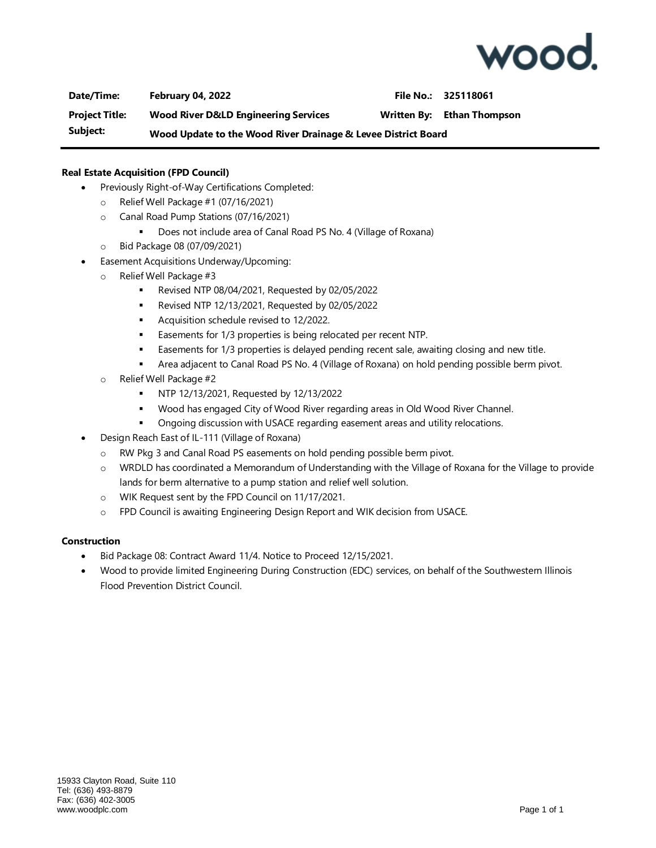

**Date/Time: February 04, 2022 File No.: 325118061 Project Title: Wood River D&LD Engineering Services Written By: Ethan Thompson Subject: Wood Update to the Wood River Drainage & Levee District Board**

#### **Real Estate Acquisition (FPD Council)**

- Previously Right-of-Way Certifications Completed:
	- o Relief Well Package #1 (07/16/2021)
	- o Canal Road Pump Stations (07/16/2021)
		- Does not include area of Canal Road PS No. 4 (Village of Roxana)
	- o Bid Package 08 (07/09/2021)
- Easement Acquisitions Underway/Upcoming:
	- o Relief Well Package #3
		- Revised NTP 08/04/2021, Requested by 02/05/2022
		- Revised NTP 12/13/2021, Requested by 02/05/2022
		- Acquisition schedule revised to 12/2022.
		- Easements for 1/3 properties is being relocated per recent NTP.
		- **■** Easements for 1/3 properties is delayed pending recent sale, awaiting closing and new title.
		- Area adjacent to Canal Road PS No. 4 (Village of Roxana) on hold pending possible berm pivot.
	- o Relief Well Package #2
		- NTP 12/13/2021, Requested by 12/13/2022
		- Wood has engaged City of Wood River regarding areas in Old Wood River Channel.
		- **•** Ongoing discussion with USACE regarding easement areas and utility relocations.
	- Design Reach East of IL-111 (Village of Roxana)
		- o RW Pkg 3 and Canal Road PS easements on hold pending possible berm pivot.
		- o WRDLD has coordinated a Memorandum of Understanding with the Village of Roxana for the Village to provide lands for berm alternative to a pump station and relief well solution.
		- o WIK Request sent by the FPD Council on 11/17/2021.
		- o FPD Council is awaiting Engineering Design Report and WIK decision from USACE.

#### **Construction**

- Bid Package 08: Contract Award 11/4. Notice to Proceed 12/15/2021.
- Wood to provide limited Engineering During Construction (EDC) services, on behalf of the Southwestern Illinois Flood Prevention District Council.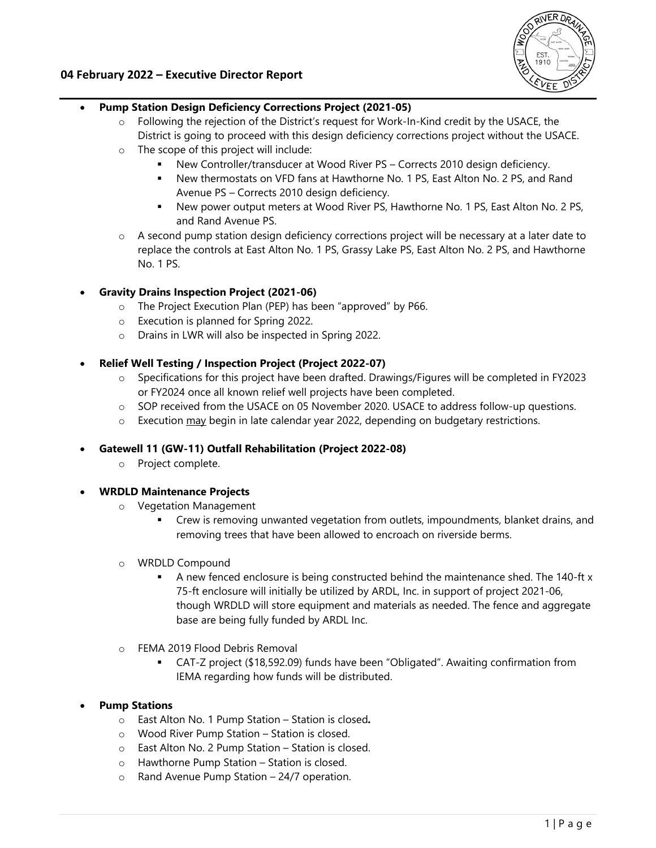

#### **04 February 2022 – Executive Director Report**

#### **Pump Station Design Deficiency Corrections Project (2021-05)**

- $\circ$  Following the rejection of the District's request for Work-In-Kind credit by the USACE, the District is going to proceed with this design deficiency corrections project without the USACE.
- o The scope of this project will include:
	- New Controller/transducer at Wood River PS Corrects 2010 design deficiency.
	- New thermostats on VFD fans at Hawthorne No. 1 PS, East Alton No. 2 PS, and Rand Avenue PS – Corrects 2010 design deficiency.
	- New power output meters at Wood River PS, Hawthorne No. 1 PS, East Alton No. 2 PS, and Rand Avenue PS.
- o A second pump station design deficiency corrections project will be necessary at a later date to replace the controls at East Alton No. 1 PS, Grassy Lake PS, East Alton No. 2 PS, and Hawthorne No. 1 PS.

#### **Gravity Drains Inspection Project (2021-06)**

- o The Project Execution Plan (PEP) has been "approved" by P66.
- o Execution is planned for Spring 2022.
- o Drains in LWR will also be inspected in Spring 2022.

#### **Relief Well Testing / Inspection Project (Project 2022-07)**

- o Specifications for this project have been drafted. Drawings/Figures will be completed in FY2023 or FY2024 once all known relief well projects have been completed.
- o SOP received from the USACE on 05 November 2020. USACE to address follow-up questions.
- $\circ$  Execution may begin in late calendar year 2022, depending on budgetary restrictions.

#### **Gatewell 11 (GW-11) Outfall Rehabilitation (Project 2022-08)**

o Project complete.

#### **WRDLD Maintenance Projects**

- o Vegetation Management
	- Crew is removing unwanted vegetation from outlets, impoundments, blanket drains, and removing trees that have been allowed to encroach on riverside berms.
- o WRDLD Compound
	- A new fenced enclosure is being constructed behind the maintenance shed. The 140-ft x 75-ft enclosure will initially be utilized by ARDL, Inc. in support of project 2021-06, though WRDLD will store equipment and materials as needed. The fence and aggregate base are being fully funded by ARDL Inc.
- o FEMA 2019 Flood Debris Removal
	- CAT-Z project (\$18,592.09) funds have been "Obligated". Awaiting confirmation from IEMA regarding how funds will be distributed.

#### **Pump Stations**

- o East Alton No. 1 Pump Station Station is closed*.*
- o Wood River Pump Station Station is closed.
- o East Alton No. 2 Pump Station Station is closed.
- o Hawthorne Pump Station Station is closed.
- o Rand Avenue Pump Station 24/7 operation.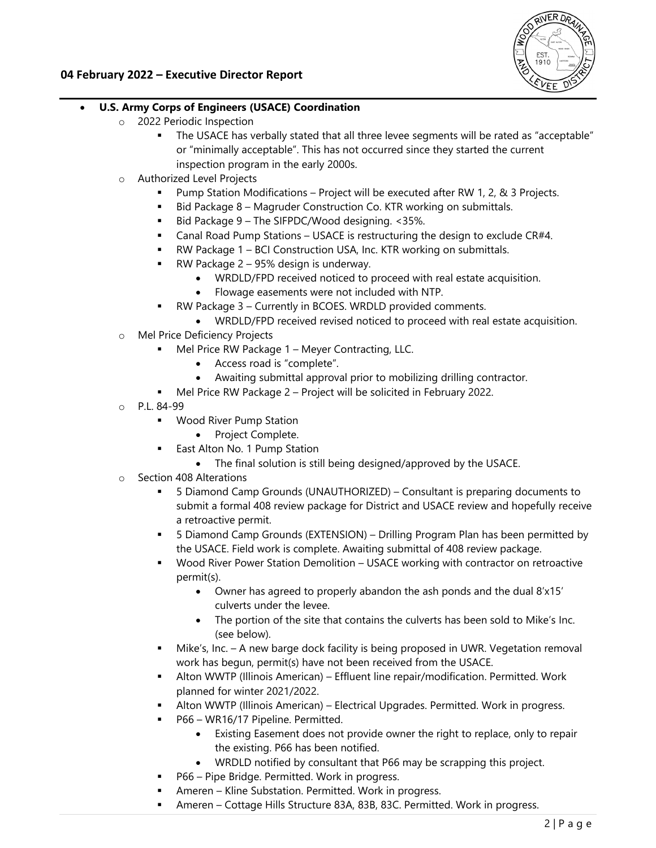

#### **04 February 2022 – Executive Director Report**

#### **U.S. Army Corps of Engineers (USACE) Coordination**

- o 2022 Periodic Inspection
	- The USACE has verbally stated that all three levee segments will be rated as "acceptable" or "minimally acceptable". This has not occurred since they started the current inspection program in the early 2000s.
- o Authorized Level Projects
	- Pump Station Modifications Project will be executed after RW 1, 2, & 3 Projects.
	- Bid Package 8 Magruder Construction Co. KTR working on submittals.
	- Bid Package 9 The SIFPDC/Wood designing. <35%.
	- Canal Road Pump Stations USACE is restructuring the design to exclude CR#4.
	- RW Package 1 BCI Construction USA, Inc. KTR working on submittals.
	- RW Package 2 95% design is underway.
		- WRDLD/FPD received noticed to proceed with real estate acquisition.
		- Flowage easements were not included with NTP.
	- RW Package 3 Currently in BCOES. WRDLD provided comments.
		- WRDLD/FPD received revised noticed to proceed with real estate acquisition.
- o Mel Price Deficiency Projects
	- Mel Price RW Package 1 Meyer Contracting, LLC.
		- Access road is "complete".
		- Awaiting submittal approval prior to mobilizing drilling contractor.
	- Mel Price RW Package 2 Project will be solicited in February 2022.
- o P.L. 84-99
	- **Wood River Pump Station** 
		- Project Complete.
	- **East Alton No. 1 Pump Station** 
		- The final solution is still being designed/approved by the USACE.
- o Section 408 Alterations
	- 5 Diamond Camp Grounds (UNAUTHORIZED) Consultant is preparing documents to submit a formal 408 review package for District and USACE review and hopefully receive a retroactive permit.
	- 5 Diamond Camp Grounds (EXTENSION) Drilling Program Plan has been permitted by the USACE. Field work is complete. Awaiting submittal of 408 review package.
	- Wood River Power Station Demolition USACE working with contractor on retroactive permit(s).
		- Owner has agreed to properly abandon the ash ponds and the dual 8'x15' culverts under the levee.
		- The portion of the site that contains the culverts has been sold to Mike's Inc. (see below).
	- **Mike's, Inc. A new barge dock facility is being proposed in UWR. Vegetation removal** work has begun, permit(s) have not been received from the USACE.
	- Alton WWTP (Illinois American) Effluent line repair/modification. Permitted. Work planned for winter 2021/2022.
	- Alton WWTP (Illinois American) Electrical Upgrades. Permitted. Work in progress.
	- P66 WR16/17 Pipeline. Permitted.
		- Existing Easement does not provide owner the right to replace, only to repair the existing. P66 has been notified.
		- WRDLD notified by consultant that P66 may be scrapping this project.
	- P66 Pipe Bridge. Permitted. Work in progress.
	- Ameren Kline Substation. Permitted. Work in progress.
	- Ameren Cottage Hills Structure 83A, 83B, 83C. Permitted. Work in progress.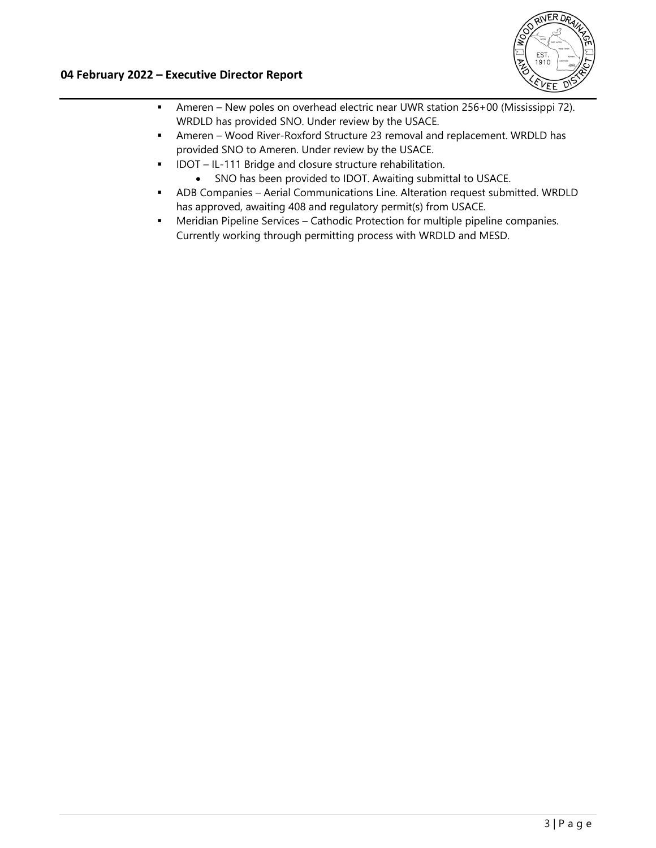

#### **04 February 2022 – Executive Director Report**

- Ameren New poles on overhead electric near UWR station 256+00 (Mississippi 72). WRDLD has provided SNO. Under review by the USACE.
- Ameren Wood River-Roxford Structure 23 removal and replacement. WRDLD has provided SNO to Ameren. Under review by the USACE.
- **IDOT** IL-111 Bridge and closure structure rehabilitation.
	- SNO has been provided to IDOT. Awaiting submittal to USACE.
- ADB Companies Aerial Communications Line. Alteration request submitted. WRDLD has approved, awaiting 408 and regulatory permit(s) from USACE.
- Meridian Pipeline Services Cathodic Protection for multiple pipeline companies. Currently working through permitting process with WRDLD and MESD.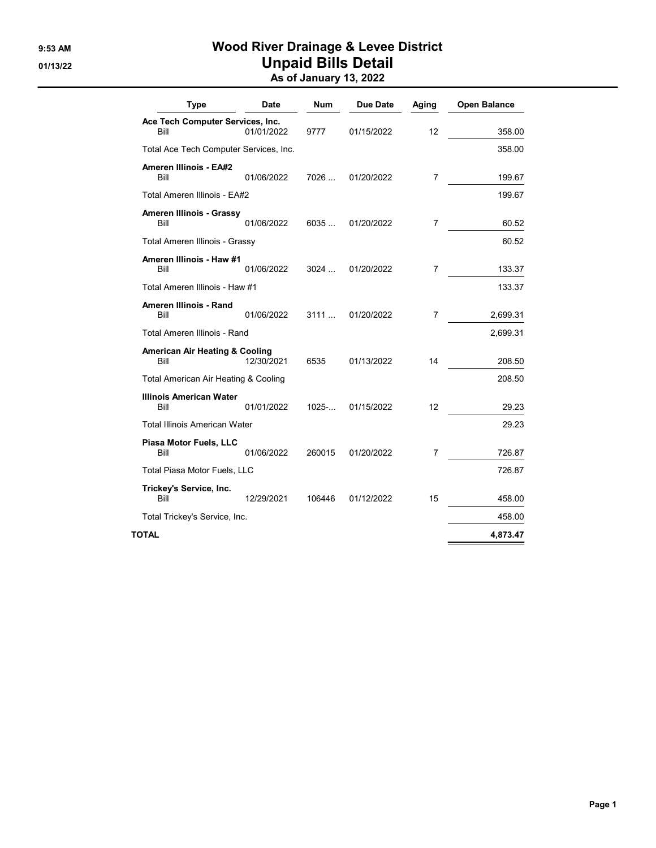## 9:53 AM Wood River Drainage & Levee District 01/13/22 **Unpaid Bills Detail**

|  | As of January 13, 2022 |  |
|--|------------------------|--|
|  |                        |  |

| <b>Type</b>                                       | Date       | Num    | <b>Due Date</b> | Aging | <b>Open Balance</b> |
|---------------------------------------------------|------------|--------|-----------------|-------|---------------------|
| Ace Tech Computer Services, Inc.<br>Bill          | 01/01/2022 | 9777   | 01/15/2022      | 12    | 358.00              |
| Total Ace Tech Computer Services, Inc.            |            |        |                 |       | 358.00              |
| Ameren Illinois - EA#2<br>Bill                    | 01/06/2022 | 7026   | 01/20/2022      | 7     | 199.67              |
| Total Ameren Illinois - EA#2                      |            |        |                 |       | 199.67              |
| Ameren Illinois - Grassy<br>Bill                  | 01/06/2022 | 6035   | 01/20/2022      | 7     | 60.52               |
| Total Ameren Illinois - Grassy                    |            |        |                 |       | 60.52               |
| Ameren Illinois - Haw #1<br>Bill                  | 01/06/2022 | 3024   | 01/20/2022      | 7     | 133.37              |
| Total Ameren Illinois - Haw #1                    |            |        |                 |       | 133.37              |
| Ameren Illinois - Rand<br>Bill                    | 01/06/2022 | 3111   | 01/20/2022      | 7     | 2,699.31            |
| Total Ameren Illinois - Rand                      |            |        |                 |       | 2,699.31            |
| <b>American Air Heating &amp; Cooling</b><br>Bill | 12/30/2021 | 6535   | 01/13/2022      | 14    | 208.50              |
| Total American Air Heating & Cooling              |            |        |                 |       | 208.50              |
| <b>Illinois American Water</b><br>Bill            | 01/01/2022 | 1025   | 01/15/2022      | 12    | 29.23               |
| <b>Total Illinois American Water</b>              |            |        |                 |       | 29.23               |
| Piasa Motor Fuels, LLC<br>Bill                    | 01/06/2022 | 260015 | 01/20/2022      | 7     | 726.87              |
| Total Piasa Motor Fuels, LLC                      |            |        |                 |       | 726.87              |
| Trickey's Service, Inc.<br>Bill                   | 12/29/2021 | 106446 | 01/12/2022      | 15    | 458.00              |
| Total Trickey's Service, Inc.                     |            |        |                 |       | 458.00              |
| TOTAL                                             |            |        |                 |       | 4,873.47            |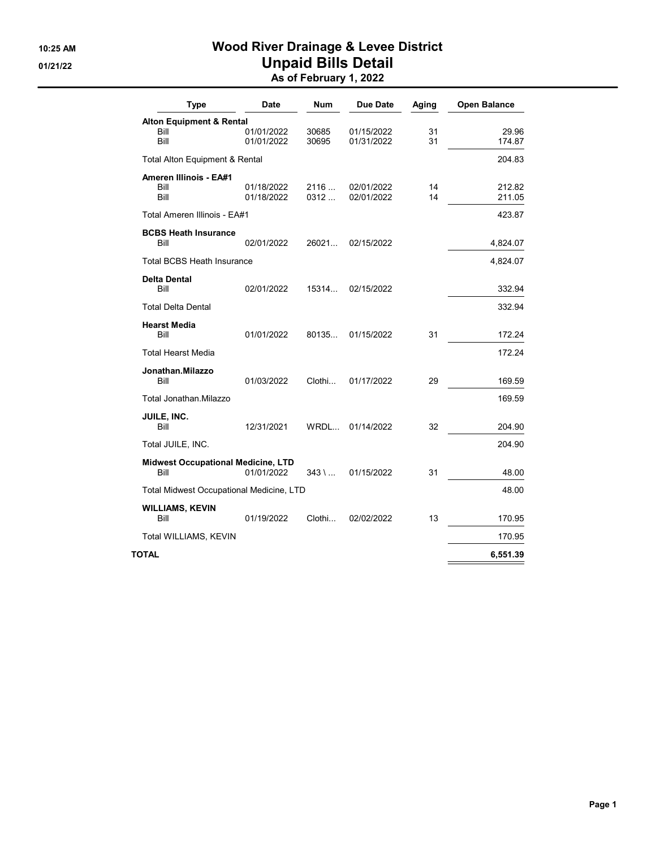## 10:25 AM Wood River Drainage & Levee District 01/21/22 **Unpaid Bills Detail** As of February 1, 2022

| <b>Type</b>                                       | <b>Date</b>              | Num            | <b>Due Date</b>          | Aging    | Open Balance     |
|---------------------------------------------------|--------------------------|----------------|--------------------------|----------|------------------|
| <b>Alton Equipment &amp; Rental</b>               |                          |                |                          |          |                  |
| Bill<br>Bill                                      | 01/01/2022<br>01/01/2022 | 30685<br>30695 | 01/15/2022<br>01/31/2022 | 31<br>31 | 29.96<br>174.87  |
| Total Alton Equipment & Rental                    |                          |                |                          |          | 204.83           |
| <b>Ameren Illinois - EA#1</b><br>Bill<br>Bill     | 01/18/2022<br>01/18/2022 | 2116<br>0312   | 02/01/2022<br>02/01/2022 | 14<br>14 | 212.82<br>211.05 |
| Total Ameren Illinois - EA#1                      |                          |                |                          |          | 423.87           |
| <b>BCBS Heath Insurance</b><br>Bill               | 02/01/2022               | 26021          | 02/15/2022               |          | 4,824.07         |
| <b>Total BCBS Heath Insurance</b>                 |                          |                |                          |          | 4,824.07         |
| <b>Delta Dental</b><br>Bill                       | 02/01/2022               | 15314          | 02/15/2022               |          | 332.94           |
| <b>Total Delta Dental</b>                         |                          |                |                          |          | 332.94           |
| <b>Hearst Media</b><br>Bill                       | 01/01/2022               | 80135          | 01/15/2022               | 31       | 172.24           |
| <b>Total Hearst Media</b>                         |                          |                |                          |          | 172.24           |
| Jonathan.Milazzo<br>Bill                          | 01/03/2022               | Clothi         | 01/17/2022               | 29       | 169.59           |
| Total Jonathan.Milazzo                            |                          |                |                          |          | 169.59           |
| JUILE, INC.<br>Bill                               | 12/31/2021               | WRDL           | 01/14/2022               | 32       | 204.90           |
| Total JUILE, INC.                                 |                          |                |                          |          | 204.90           |
| <b>Midwest Occupational Medicine, LTD</b><br>Bill | 01/01/2022               | 343 \ …        | 01/15/2022               | 31       | 48.00            |
| <b>Total Midwest Occupational Medicine, LTD</b>   |                          |                |                          |          | 48.00            |
| <b>WILLIAMS, KEVIN</b><br>Bill                    | 01/19/2022               | Clothi         | 02/02/2022               | 13       | 170.95           |
| Total WILLIAMS, KEVIN                             |                          |                |                          |          | 170.95           |
| TOTAL                                             |                          |                |                          |          | 6,551.39         |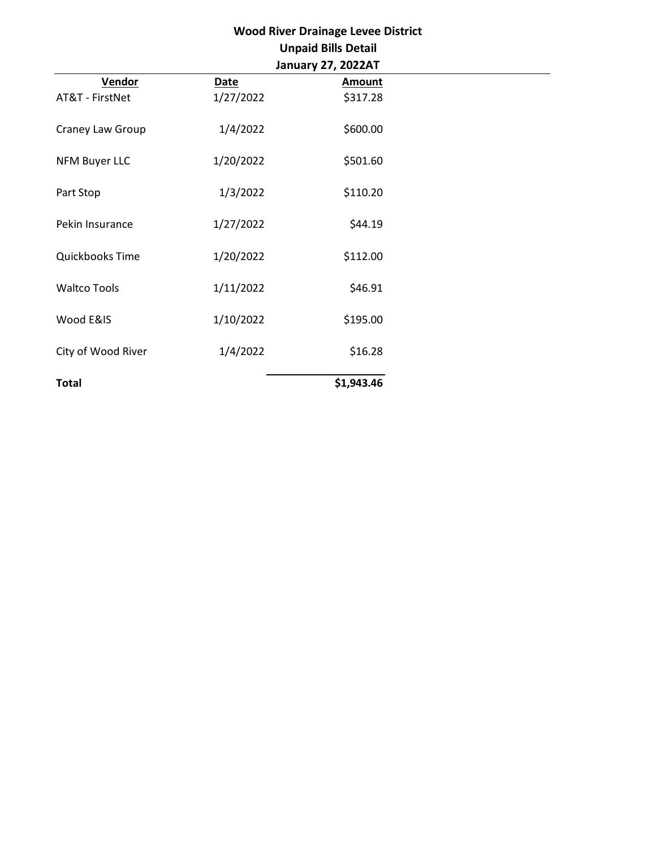| <b>Wood River Drainage Levee District</b> |             |                            |  |
|-------------------------------------------|-------------|----------------------------|--|
|                                           |             | <b>Unpaid Bills Detail</b> |  |
|                                           |             | January 27, 2022AT         |  |
| Vendor                                    | <b>Date</b> | <b>Amount</b>              |  |
| AT&T - FirstNet                           | 1/27/2022   | \$317.28                   |  |
| Craney Law Group                          | 1/4/2022    | \$600.00                   |  |
| <b>NFM Buyer LLC</b>                      | 1/20/2022   | \$501.60                   |  |
| Part Stop                                 | 1/3/2022    | \$110.20                   |  |
| Pekin Insurance                           | 1/27/2022   | \$44.19                    |  |
| Quickbooks Time                           | 1/20/2022   | \$112.00                   |  |
| <b>Waltco Tools</b>                       | 1/11/2022   | \$46.91                    |  |
| Wood E&IS                                 | 1/10/2022   | \$195.00                   |  |
| City of Wood River                        | 1/4/2022    | \$16.28                    |  |
| <b>Total</b>                              |             | \$1,943.46                 |  |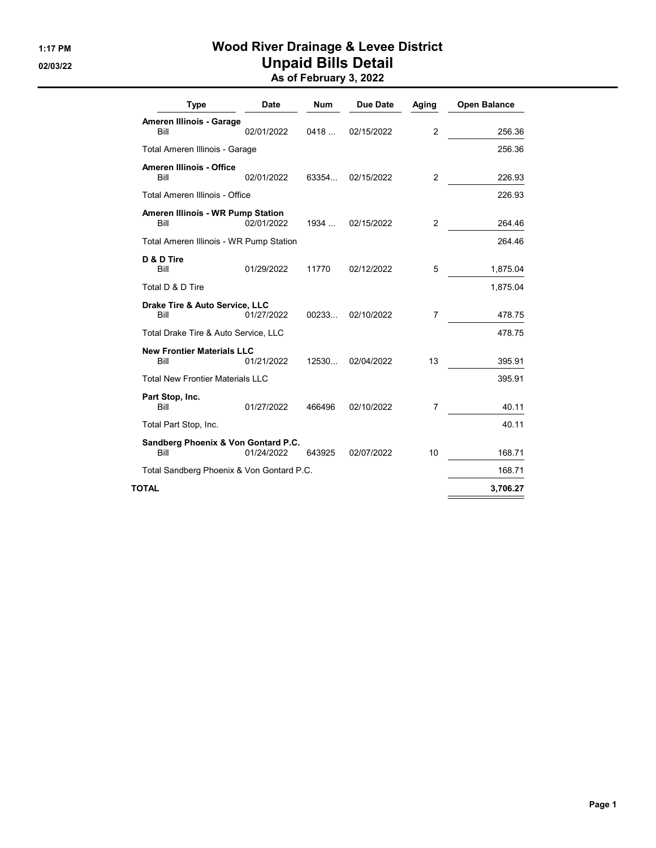## 1:17 PM Wood River Drainage & Levee District 02/03/22 **Unpaid Bills Detail** As of February 3, 2022

| <b>Type</b>                                 | Date       | Num    | <b>Due Date</b> | Aging          | <b>Open Balance</b> |
|---------------------------------------------|------------|--------|-----------------|----------------|---------------------|
| Ameren Illinois - Garage                    |            |        |                 |                |                     |
| Bill                                        | 02/01/2022 | 0418   | 02/15/2022      | 2              | 256.36              |
| Total Ameren Illinois - Garage              |            |        |                 |                | 256.36              |
| <b>Ameren Illinois - Office</b><br>Bill     | 02/01/2022 | 63354  | 02/15/2022      | 2              | 226.93              |
| Total Ameren Illinois - Office              |            |        |                 |                | 226.93              |
| Ameren Illinois - WR Pump Station<br>Bill   | 02/01/2022 | 1934   | 02/15/2022      | $\overline{2}$ | 264.46              |
| Total Ameren Illinois - WR Pump Station     |            |        |                 |                | 264.46              |
| D & D Tire<br>Bill                          | 01/29/2022 | 11770  | 02/12/2022      | 5              | 1,875.04            |
| Total D & D Tire                            |            |        |                 |                | 1,875.04            |
| Drake Tire & Auto Service, LLC<br>Bill      | 01/27/2022 | 00233  | 02/10/2022      | 7              | 478.75              |
| Total Drake Tire & Auto Service, LLC        |            |        |                 |                | 478.75              |
| <b>New Frontier Materials LLC</b>           |            |        |                 |                |                     |
| Bill                                        | 01/21/2022 | 12530  | 02/04/2022      | 13             | 395.91              |
| <b>Total New Frontier Materials LLC</b>     |            |        |                 |                | 395.91              |
| Part Stop, Inc.<br>Bill                     | 01/27/2022 | 466496 | 02/10/2022      | 7              | 40.11               |
| Total Part Stop, Inc.                       |            |        |                 |                | 40.11               |
| Sandberg Phoenix & Von Gontard P.C.<br>Bill | 01/24/2022 | 643925 | 02/07/2022      | 10             | 168.71              |
| Total Sandberg Phoenix & Von Gontard P.C.   |            |        |                 |                | 168.71              |
| TOTAL                                       |            |        |                 |                | 3,706.27            |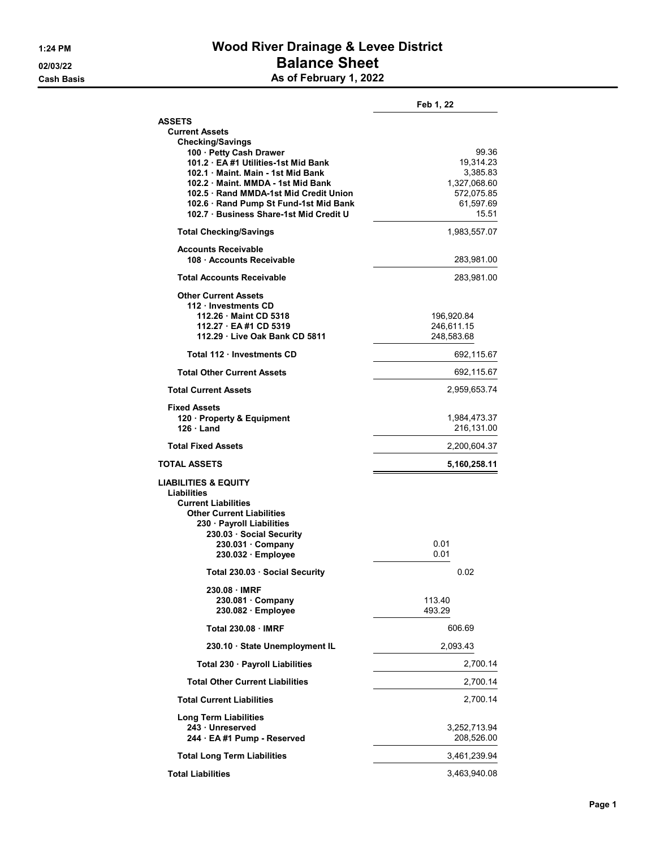## 1:24 PM Wood River Drainage & Levee District 02/03/22 **Balance Sheet** Cash Basis **As of February 1, 2022**

|                                                                                | Feb 1, 22                |
|--------------------------------------------------------------------------------|--------------------------|
| <b>ASSETS</b>                                                                  |                          |
| <b>Current Assets</b><br><b>Checking/Savings</b>                               |                          |
| 100 · Petty Cash Drawer                                                        | 99.36                    |
| 101.2 · EA #1 Utilities-1st Mid Bank                                           | 19,314.23                |
| 102.1 Maint, Main - 1st Mid Bank                                               | 3,385.83                 |
| 102.2 Maint, MMDA - 1st Mid Bank                                               | 1,327,068.60             |
| 102.5 Rand MMDA-1st Mid Credit Union<br>102.6 · Rand Pump St Fund-1st Mid Bank | 572,075.85<br>61,597.69  |
| 102.7 Business Share-1st Mid Credit U                                          | 15.51                    |
| <b>Total Checking/Savings</b>                                                  | 1,983,557.07             |
| <b>Accounts Receivable</b>                                                     |                          |
| 108 Accounts Receivable                                                        | 283,981.00               |
| <b>Total Accounts Receivable</b>                                               | 283,981.00               |
| <b>Other Current Assets</b>                                                    |                          |
| 112 · Investments CD                                                           |                          |
| 112.26 Maint CD 5318<br>112.27 · EA #1 CD 5319                                 | 196,920.84<br>246,611.15 |
| 112.29 Live Oak Bank CD 5811                                                   | 248,583.68               |
| Total 112 Investments CD                                                       | 692,115.67               |
| <b>Total Other Current Assets</b>                                              | 692,115.67               |
| <b>Total Current Assets</b>                                                    | 2,959,653.74             |
| <b>Fixed Assets</b>                                                            |                          |
| 120 · Property & Equipment                                                     | 1,984,473.37             |
| $126 \cdot$ Land                                                               | 216,131.00               |
| <b>Total Fixed Assets</b>                                                      | 2,200,604.37             |
| <b>TOTAL ASSETS</b>                                                            | 5,160,258.11             |
| <b>LIABILITIES &amp; EQUITY</b>                                                |                          |
| <b>Liabilities</b>                                                             |                          |
| <b>Current Liabilities</b><br><b>Other Current Liabilities</b>                 |                          |
| 230 · Payroll Liabilities                                                      |                          |
| 230.03 Social Security                                                         |                          |
| 230.031 · Company                                                              | 0.01                     |
| 230.032 · Employee                                                             | 0.01                     |
| Total 230.03 · Social Security                                                 | 0.02                     |
| 230.08 · IMRF                                                                  |                          |
| $230.081 \cdot$ Company                                                        | 113.40                   |
| 230.082 · Employee<br><b>Total 230.08 IMRF</b>                                 | 493.29<br>606.69         |
|                                                                                |                          |
| 230.10 · State Unemployment IL                                                 | 2,093.43                 |
| Total 230 · Payroll Liabilities                                                | 2,700.14                 |
| <b>Total Other Current Liabilities</b>                                         | 2,700.14                 |
| <b>Total Current Liabilities</b>                                               | 2,700.14                 |
| <b>Long Term Liabilities</b>                                                   |                          |
| 243 Unreserved                                                                 | 3,252,713.94             |
| 244 · EA #1 Pump - Reserved                                                    | 208,526.00               |
| <b>Total Long Term Liabilities</b>                                             | 3,461,239.94             |
| <b>Total Liabilities</b>                                                       | 3,463,940.08             |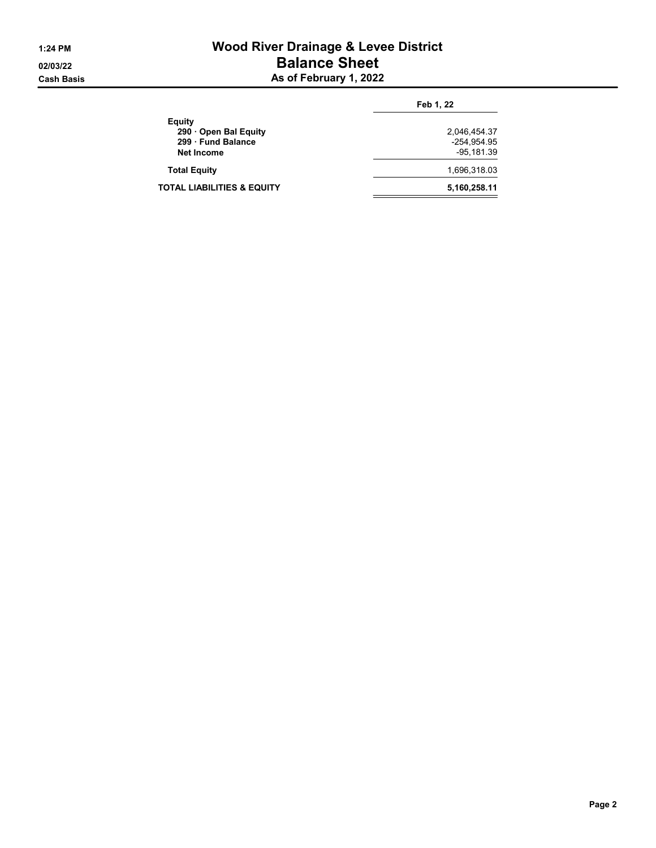## 1:24 PM Wood River Drainage & Levee District 02/03/22 **Balance Sheet** Cash Basis **As of February 1, 2022**

|                               | Feb 1, 22    |
|-------------------------------|--------------|
| Equity<br>290 Open Bal Equity | 2,046,454.37 |
| 299 Fund Balance              | -254.954.95  |
| <b>Net Income</b>             | -95.181.39   |
| <b>Total Equity</b>           | 1,696,318.03 |
| TOTAL LIABILITIES & EQUITY    | 5,160,258.11 |
|                               |              |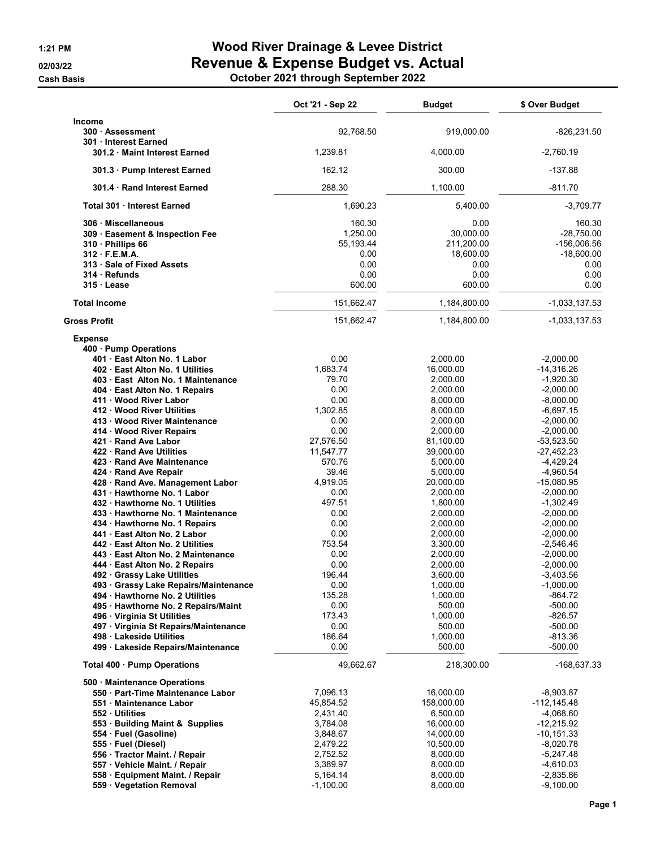**Cash Basis** 

# 1:21 PM Wood River Drainage & Levee District 02/03/22 Revenue & Expense Budget vs. Actual

|  |  | October 2021 through September 2022 |
|--|--|-------------------------------------|
|--|--|-------------------------------------|

|                                                                                                                                                                                                                                                                                                                                                                                                                                                                                                                                                                                                                                                                                                                                                                                                                                                                                                                                                                                                                | Oct '21 - Sep 22                                                                                                                                                                                                                                                           | <b>Budget</b>                                                                                                                                                                                                                                                                                                                                          | \$ Over Budget                                                                                                                                                                                                                                                                                                                                                                                                                        |
|----------------------------------------------------------------------------------------------------------------------------------------------------------------------------------------------------------------------------------------------------------------------------------------------------------------------------------------------------------------------------------------------------------------------------------------------------------------------------------------------------------------------------------------------------------------------------------------------------------------------------------------------------------------------------------------------------------------------------------------------------------------------------------------------------------------------------------------------------------------------------------------------------------------------------------------------------------------------------------------------------------------|----------------------------------------------------------------------------------------------------------------------------------------------------------------------------------------------------------------------------------------------------------------------------|--------------------------------------------------------------------------------------------------------------------------------------------------------------------------------------------------------------------------------------------------------------------------------------------------------------------------------------------------------|---------------------------------------------------------------------------------------------------------------------------------------------------------------------------------------------------------------------------------------------------------------------------------------------------------------------------------------------------------------------------------------------------------------------------------------|
| Income<br>300 · Assessment<br>301 Interest Earned                                                                                                                                                                                                                                                                                                                                                                                                                                                                                                                                                                                                                                                                                                                                                                                                                                                                                                                                                              | 92,768.50                                                                                                                                                                                                                                                                  | 919,000.00                                                                                                                                                                                                                                                                                                                                             | -826,231.50                                                                                                                                                                                                                                                                                                                                                                                                                           |
| 301.2 Maint Interest Earned                                                                                                                                                                                                                                                                                                                                                                                                                                                                                                                                                                                                                                                                                                                                                                                                                                                                                                                                                                                    | 1,239.81                                                                                                                                                                                                                                                                   | 4,000.00                                                                                                                                                                                                                                                                                                                                               | $-2,760.19$                                                                                                                                                                                                                                                                                                                                                                                                                           |
| 301.3 · Pump Interest Earned                                                                                                                                                                                                                                                                                                                                                                                                                                                                                                                                                                                                                                                                                                                                                                                                                                                                                                                                                                                   | 162.12                                                                                                                                                                                                                                                                     | 300.00                                                                                                                                                                                                                                                                                                                                                 | $-137.88$                                                                                                                                                                                                                                                                                                                                                                                                                             |
| 301.4 Rand Interest Earned                                                                                                                                                                                                                                                                                                                                                                                                                                                                                                                                                                                                                                                                                                                                                                                                                                                                                                                                                                                     | 288.30                                                                                                                                                                                                                                                                     | 1,100.00                                                                                                                                                                                                                                                                                                                                               | $-811.70$                                                                                                                                                                                                                                                                                                                                                                                                                             |
| Total 301 Interest Earned                                                                                                                                                                                                                                                                                                                                                                                                                                                                                                                                                                                                                                                                                                                                                                                                                                                                                                                                                                                      | 1,690.23                                                                                                                                                                                                                                                                   | 5,400.00                                                                                                                                                                                                                                                                                                                                               | $-3,709.77$                                                                                                                                                                                                                                                                                                                                                                                                                           |
| 306 Miscellaneous<br>309 · Easement & Inspection Fee<br>310 · Phillips 66<br>312 F.E.M.A.<br>313 · Sale of Fixed Assets<br>314 Refunds<br>315 Lease                                                                                                                                                                                                                                                                                                                                                                                                                                                                                                                                                                                                                                                                                                                                                                                                                                                            | 160.30<br>1,250.00<br>55,193.44<br>0.00<br>0.00<br>0.00<br>600.00                                                                                                                                                                                                          | 0.00<br>30,000.00<br>211,200.00<br>18,600.00<br>0.00<br>0.00<br>600.00                                                                                                                                                                                                                                                                                 | 160.30<br>$-28,750.00$<br>$-156,006.56$<br>$-18,600.00$<br>0.00<br>0.00<br>0.00                                                                                                                                                                                                                                                                                                                                                       |
| <b>Total Income</b>                                                                                                                                                                                                                                                                                                                                                                                                                                                                                                                                                                                                                                                                                                                                                                                                                                                                                                                                                                                            | 151,662.47                                                                                                                                                                                                                                                                 | 1,184,800.00                                                                                                                                                                                                                                                                                                                                           | $-1,033,137.53$                                                                                                                                                                                                                                                                                                                                                                                                                       |
| <b>Gross Profit</b>                                                                                                                                                                                                                                                                                                                                                                                                                                                                                                                                                                                                                                                                                                                                                                                                                                                                                                                                                                                            | 151,662.47                                                                                                                                                                                                                                                                 | 1,184,800.00                                                                                                                                                                                                                                                                                                                                           | $-1,033,137.53$                                                                                                                                                                                                                                                                                                                                                                                                                       |
| <b>Expense</b><br>400 · Pump Operations<br>401 · East Alton No. 1 Labor<br>402 East Alton No. 1 Utilities<br>403 · East Alton No. 1 Maintenance<br>404 · East Alton No. 1 Repairs<br>411 Wood River Labor<br>412 Wood River Utilities<br>413 · Wood River Maintenance<br>414 Wood River Repairs<br>421 Rand Ave Labor<br>422 · Rand Ave Utilities<br>423 Rand Ave Maintenance<br>424 · Rand Ave Repair<br>428 · Rand Ave. Management Labor<br>431 Hawthorne No. 1 Labor<br>432 Hawthorne No. 1 Utilities<br>433 Hawthorne No. 1 Maintenance<br>434 · Hawthorne No. 1 Repairs<br>441 · East Alton No. 2 Labor<br>442 East Alton No. 2 Utilities<br>443 · East Alton No. 2 Maintenance<br>444 · East Alton No. 2 Repairs<br>492 · Grassy Lake Utilities<br>493 Grassy Lake Repairs/Maintenance<br>494 · Hawthorne No. 2 Utilities<br>495 · Hawthorne No. 2 Repairs/Maint<br>496 · Virginia St Utilities<br>497 · Virginia St Repairs/Maintenance<br>498 Lakeside Utilities<br>499 · Lakeside Repairs/Maintenance | 0.00<br>1.683.74<br>79.70<br>0.00<br>0.00<br>1,302.85<br>0.00<br>0.00<br>27,576.50<br>11,547.77<br>570.76<br>39.46<br>4,919.05<br>0.00<br>497.51<br>0.00<br>0.00<br>0.00<br>753.54<br>0.00<br>0.00<br>196.44<br>0.00<br>135.28<br>0.00<br>173.43<br>0.00<br>186.64<br>0.00 | 2,000.00<br>16,000.00<br>2,000.00<br>2.000.00<br>8,000.00<br>8,000.00<br>2,000.00<br>2,000.00<br>81,100.00<br>39,000.00<br>5,000.00<br>5,000.00<br>20,000.00<br>2,000.00<br>1,800.00<br>2,000.00<br>2,000.00<br>2,000.00<br>3,300.00<br>2,000.00<br>2,000.00<br>3,600.00<br>1,000.00<br>1,000.00<br>500.00<br>1,000.00<br>500.00<br>1,000.00<br>500.00 | $-2,000.00$<br>$-14,316.26$<br>$-1,920.30$<br>$-2,000.00$<br>$-8,000.00$<br>$-6,697.15$<br>$-2,000.00$<br>$-2,000.00$<br>$-53,523.50$<br>$-27,452.23$<br>$-4,429.24$<br>$-4,960.54$<br>$-15,080.95$<br>$-2,000.00$<br>$-1,302.49$<br>$-2,000.00$<br>$-2,000.00$<br>$-2,000.00$<br>$-2,546.46$<br>$-2,000.00$<br>$-2,000.00$<br>-3,403.56<br>$-1,000.00$<br>$-864.72$<br>$-500.00$<br>$-826.57$<br>$-500.00$<br>$-813.36$<br>$-500.00$ |
| Total 400 · Pump Operations                                                                                                                                                                                                                                                                                                                                                                                                                                                                                                                                                                                                                                                                                                                                                                                                                                                                                                                                                                                    | 49,662.67                                                                                                                                                                                                                                                                  | 218,300.00                                                                                                                                                                                                                                                                                                                                             | -168,637.33                                                                                                                                                                                                                                                                                                                                                                                                                           |
| 500 Maintenance Operations<br>550 · Part-Time Maintenance Labor<br>551 Maintenance Labor<br>552 Utilities<br>553 · Building Maint & Supplies<br>554 · Fuel (Gasoline)<br>555 · Fuel (Diesel)<br>556 · Tractor Maint. / Repair                                                                                                                                                                                                                                                                                                                                                                                                                                                                                                                                                                                                                                                                                                                                                                                  | 7,096.13<br>45,854.52<br>2,431.40<br>3,784.08<br>3,848.67<br>2,479.22<br>2,752.52                                                                                                                                                                                          | 16,000.00<br>158,000.00<br>6,500.00<br>16,000.00<br>14,000.00<br>10,500.00<br>8,000.00                                                                                                                                                                                                                                                                 | $-8,903.87$<br>-112,145.48<br>-4,068.60<br>$-12,215.92$<br>$-10, 151.33$<br>$-8,020.78$<br>-5,247.48                                                                                                                                                                                                                                                                                                                                  |
| 557 · Vehicle Maint. / Repair<br>558 · Equipment Maint. / Repair<br>559 · Vegetation Removal                                                                                                                                                                                                                                                                                                                                                                                                                                                                                                                                                                                                                                                                                                                                                                                                                                                                                                                   | 3,389.97<br>5,164.14<br>$-1,100.00$                                                                                                                                                                                                                                        | 8,000.00<br>8,000.00<br>8,000.00                                                                                                                                                                                                                                                                                                                       | $-4,610.03$<br>$-2,835.86$<br>$-9,100.00$                                                                                                                                                                                                                                                                                                                                                                                             |